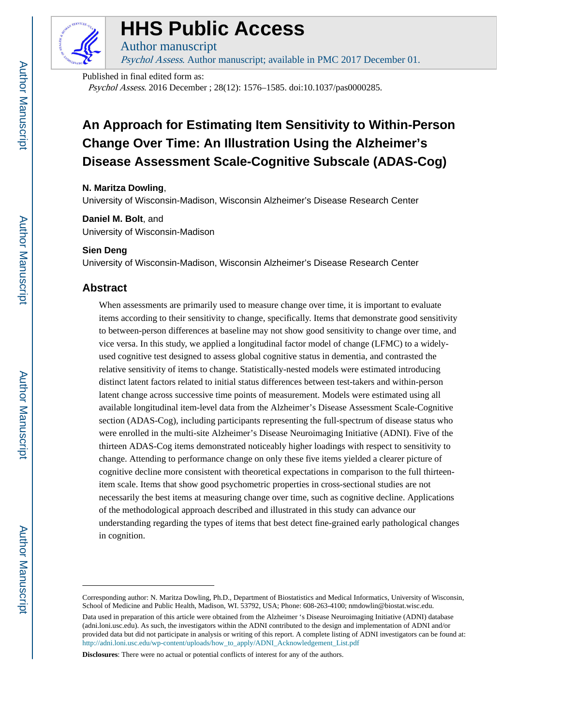

# **HHS Public Access**

Author manuscript Psychol Assess. Author manuscript; available in PMC 2017 December 01.

Published in final edited form as:

Psychol Assess. 2016 December ; 28(12): 1576–1585. doi:10.1037/pas0000285.

# **An Approach for Estimating Item Sensitivity to Within-Person Change Over Time: An Illustration Using the Alzheimer's Disease Assessment Scale-Cognitive Subscale (ADAS-Cog)**

# **N. Maritza Dowling**,

University of Wisconsin-Madison, Wisconsin Alzheimer's Disease Research Center

# **Daniel M. Bolt**, and

University of Wisconsin-Madison

# **Sien Deng**

University of Wisconsin-Madison, Wisconsin Alzheimer's Disease Research Center

# **Abstract**

When assessments are primarily used to measure change over time, it is important to evaluate items according to their sensitivity to change, specifically. Items that demonstrate good sensitivity to between-person differences at baseline may not show good sensitivity to change over time, and vice versa. In this study, we applied a longitudinal factor model of change (LFMC) to a widelyused cognitive test designed to assess global cognitive status in dementia, and contrasted the relative sensitivity of items to change. Statistically-nested models were estimated introducing distinct latent factors related to initial status differences between test-takers and within-person latent change across successive time points of measurement. Models were estimated using all available longitudinal item-level data from the Alzheimer's Disease Assessment Scale-Cognitive section (ADAS-Cog), including participants representing the full-spectrum of disease status who were enrolled in the multi-site Alzheimer's Disease Neuroimaging Initiative (ADNI). Five of the thirteen ADAS-Cog items demonstrated noticeably higher loadings with respect to sensitivity to change. Attending to performance change on only these five items yielded a clearer picture of cognitive decline more consistent with theoretical expectations in comparison to the full thirteenitem scale. Items that show good psychometric properties in cross-sectional studies are not necessarily the best items at measuring change over time, such as cognitive decline. Applications of the methodological approach described and illustrated in this study can advance our understanding regarding the types of items that best detect fine-grained early pathological changes in cognition.

**Disclosures**: There were no actual or potential conflicts of interest for any of the authors.

Corresponding author: N. Maritza Dowling, Ph.D., Department of Biostatistics and Medical Informatics, University of Wisconsin, School of Medicine and Public Health, Madison, WI. 53792, USA; Phone: 608-263-4100; nmdowlin@biostat.wisc.edu.

Data used in preparation of this article were obtained from the Alzheimer 's Disease Neuroimaging Initiative (ADNI) database (adni.loni.usc.edu). As such, the investigators within the ADNI contributed to the design and implementation of ADNI and/or provided data but did not participate in analysis or writing of this report. A complete listing of ADNI investigators can be found at: [http://adni.loni.usc.edu/wp-content/uploads/how\\_to\\_apply/ADNI\\_Acknowledgement\\_List.pdf](http://adni.loni.usc.edu/wp-content/uploads/how_to_apply/ADNI_Acknowledgement_List.pdf)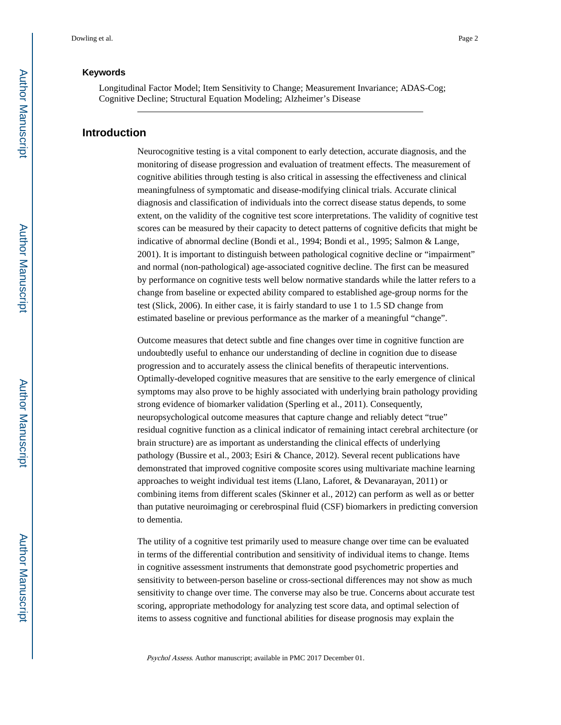## **Keywords**

Longitudinal Factor Model; Item Sensitivity to Change; Measurement Invariance; ADAS-Cog; Cognitive Decline; Structural Equation Modeling; Alzheimer's Disease

# **Introduction**

Neurocognitive testing is a vital component to early detection, accurate diagnosis, and the monitoring of disease progression and evaluation of treatment effects. The measurement of cognitive abilities through testing is also critical in assessing the effectiveness and clinical meaningfulness of symptomatic and disease-modifying clinical trials. Accurate clinical diagnosis and classification of individuals into the correct disease status depends, to some extent, on the validity of the cognitive test score interpretations. The validity of cognitive test scores can be measured by their capacity to detect patterns of cognitive deficits that might be indicative of abnormal decline (Bondi et al., 1994; Bondi et al., 1995; Salmon & Lange, 2001). It is important to distinguish between pathological cognitive decline or "impairment" and normal (non-pathological) age-associated cognitive decline. The first can be measured by performance on cognitive tests well below normative standards while the latter refers to a change from baseline or expected ability compared to established age-group norms for the test (Slick, 2006). In either case, it is fairly standard to use 1 to 1.5 SD change from estimated baseline or previous performance as the marker of a meaningful "change".

Outcome measures that detect subtle and fine changes over time in cognitive function are undoubtedly useful to enhance our understanding of decline in cognition due to disease progression and to accurately assess the clinical benefits of therapeutic interventions. Optimally-developed cognitive measures that are sensitive to the early emergence of clinical symptoms may also prove to be highly associated with underlying brain pathology providing strong evidence of biomarker validation (Sperling et al., 2011). Consequently, neuropsychological outcome measures that capture change and reliably detect "true" residual cognitive function as a clinical indicator of remaining intact cerebral architecture (or brain structure) are as important as understanding the clinical effects of underlying pathology (Bussire et al., 2003; Esiri & Chance, 2012). Several recent publications have demonstrated that improved cognitive composite scores using multivariate machine learning approaches to weight individual test items (Llano, Laforet, & Devanarayan, 2011) or combining items from different scales (Skinner et al., 2012) can perform as well as or better than putative neuroimaging or cerebrospinal fluid (CSF) biomarkers in predicting conversion to dementia.

The utility of a cognitive test primarily used to measure change over time can be evaluated in terms of the differential contribution and sensitivity of individual items to change. Items in cognitive assessment instruments that demonstrate good psychometric properties and sensitivity to between-person baseline or cross-sectional differences may not show as much sensitivity to change over time. The converse may also be true. Concerns about accurate test scoring, appropriate methodology for analyzing test score data, and optimal selection of items to assess cognitive and functional abilities for disease prognosis may explain the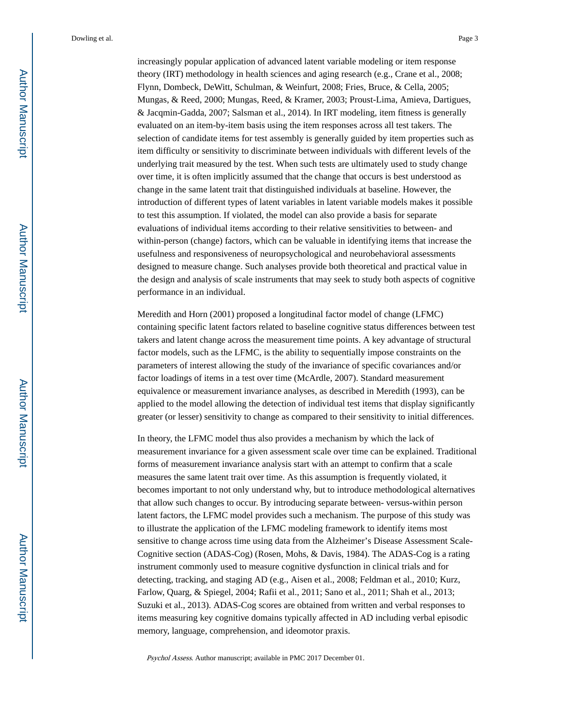increasingly popular application of advanced latent variable modeling or item response theory (IRT) methodology in health sciences and aging research (e.g., Crane et al., 2008; Flynn, Dombeck, DeWitt, Schulman, & Weinfurt, 2008; Fries, Bruce, & Cella, 2005; Mungas, & Reed, 2000; Mungas, Reed, & Kramer, 2003; Proust-Lima, Amieva, Dartigues, & Jacqmin-Gadda, 2007; Salsman et al., 2014). In IRT modeling, item fitness is generally evaluated on an item-by-item basis using the item responses across all test takers. The selection of candidate items for test assembly is generally guided by item properties such as item difficulty or sensitivity to discriminate between individuals with different levels of the underlying trait measured by the test. When such tests are ultimately used to study change over time, it is often implicitly assumed that the change that occurs is best understood as change in the same latent trait that distinguished individuals at baseline. However, the introduction of different types of latent variables in latent variable models makes it possible to test this assumption. If violated, the model can also provide a basis for separate evaluations of individual items according to their relative sensitivities to between- and within-person (change) factors, which can be valuable in identifying items that increase the usefulness and responsiveness of neuropsychological and neurobehavioral assessments designed to measure change. Such analyses provide both theoretical and practical value in the design and analysis of scale instruments that may seek to study both aspects of cognitive performance in an individual.

Meredith and Horn (2001) proposed a longitudinal factor model of change (LFMC) containing specific latent factors related to baseline cognitive status differences between test takers and latent change across the measurement time points. A key advantage of structural factor models, such as the LFMC, is the ability to sequentially impose constraints on the parameters of interest allowing the study of the invariance of specific covariances and/or factor loadings of items in a test over time (McArdle, 2007). Standard measurement equivalence or measurement invariance analyses, as described in Meredith (1993), can be applied to the model allowing the detection of individual test items that display significantly greater (or lesser) sensitivity to change as compared to their sensitivity to initial differences.

In theory, the LFMC model thus also provides a mechanism by which the lack of measurement invariance for a given assessment scale over time can be explained. Traditional forms of measurement invariance analysis start with an attempt to confirm that a scale measures the same latent trait over time. As this assumption is frequently violated, it becomes important to not only understand why, but to introduce methodological alternatives that allow such changes to occur. By introducing separate between- versus-within person latent factors, the LFMC model provides such a mechanism. The purpose of this study was to illustrate the application of the LFMC modeling framework to identify items most sensitive to change across time using data from the Alzheimer's Disease Assessment Scale-Cognitive section (ADAS-Cog) (Rosen, Mohs, & Davis, 1984). The ADAS-Cog is a rating instrument commonly used to measure cognitive dysfunction in clinical trials and for detecting, tracking, and staging AD (e.g., Aisen et al., 2008; Feldman et al., 2010; Kurz, Farlow, Quarg, & Spiegel, 2004; Rafii et al., 2011; Sano et al., 2011; Shah et al., 2013; Suzuki et al., 2013). ADAS-Cog scores are obtained from written and verbal responses to items measuring key cognitive domains typically affected in AD including verbal episodic memory, language, comprehension, and ideomotor praxis.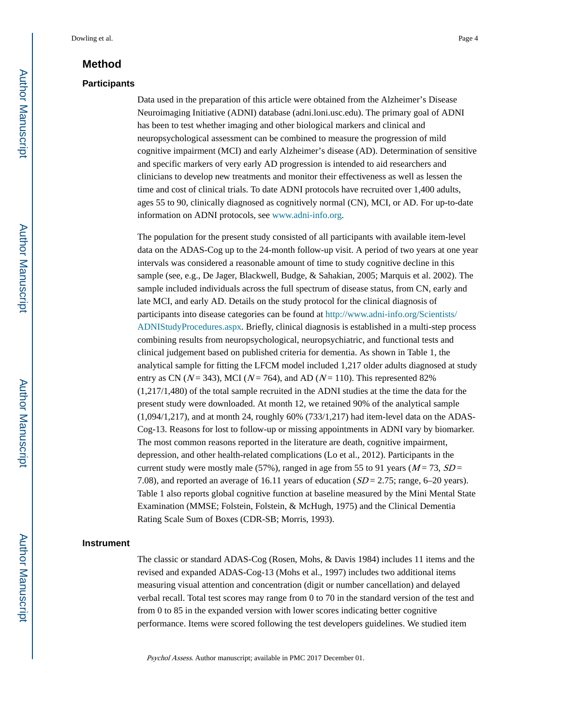# **Method**

#### **Participants**

Data used in the preparation of this article were obtained from the Alzheimer's Disease Neuroimaging Initiative (ADNI) database (adni.loni.usc.edu). The primary goal of ADNI has been to test whether imaging and other biological markers and clinical and neuropsychological assessment can be combined to measure the progression of mild cognitive impairment (MCI) and early Alzheimer's disease (AD). Determination of sensitive and specific markers of very early AD progression is intended to aid researchers and clinicians to develop new treatments and monitor their effectiveness as well as lessen the time and cost of clinical trials. To date ADNI protocols have recruited over 1,400 adults, ages 55 to 90, clinically diagnosed as cognitively normal (CN), MCI, or AD. For up-to-date information on ADNI protocols, see www.adni-info.org.

The population for the present study consisted of all participants with available item-level data on the ADAS-Cog up to the 24-month follow-up visit. A period of two years at one year intervals was considered a reasonable amount of time to study cognitive decline in this sample (see, e.g., De Jager, Blackwell, Budge, & Sahakian, 2005; Marquis et al. 2002). The sample included individuals across the full spectrum of disease status, from CN, early and late MCI, and early AD. Details on the study protocol for the clinical diagnosis of participants into disease categories can be found at [http://www.adni-info.org/Scientists/](http://www.adni-info.org/Scientists/ADNIStudyProcedures.aspx) [ADNIStudyProcedures.aspx.](http://www.adni-info.org/Scientists/ADNIStudyProcedures.aspx) Briefly, clinical diagnosis is established in a multi-step process combining results from neuropsychological, neuropsychiatric, and functional tests and clinical judgement based on published criteria for dementia. As shown in Table 1, the analytical sample for fitting the LFCM model included 1,217 older adults diagnosed at study entry as CN ( $N = 343$ ), MCI ( $N = 764$ ), and AD ( $N = 110$ ). This represented 82% (1,217/1,480) of the total sample recruited in the ADNI studies at the time the data for the present study were downloaded. At month 12, we retained 90% of the analytical sample (1,094/1,217), and at month 24, roughly 60% (733/1,217) had item-level data on the ADAS-Cog-13. Reasons for lost to follow-up or missing appointments in ADNI vary by biomarker. The most common reasons reported in the literature are death, cognitive impairment, depression, and other health-related complications (Lo et al., 2012). Participants in the current study were mostly male (57%), ranged in age from 55 to 91 years ( $M = 73$ ,  $SD =$ 7.08), and reported an average of 16.11 years of education  $(SD = 2.75$ ; range, 6–20 years). Table 1 also reports global cognitive function at baseline measured by the Mini Mental State Examination (MMSE; Folstein, Folstein, & McHugh, 1975) and the Clinical Dementia Rating Scale Sum of Boxes (CDR-SB; Morris, 1993).

#### **Instrument**

The classic or standard ADAS-Cog (Rosen, Mohs, & Davis 1984) includes 11 items and the revised and expanded ADAS-Cog-13 (Mohs et al., 1997) includes two additional items measuring visual attention and concentration (digit or number cancellation) and delayed verbal recall. Total test scores may range from 0 to 70 in the standard version of the test and from 0 to 85 in the expanded version with lower scores indicating better cognitive performance. Items were scored following the test developers guidelines. We studied item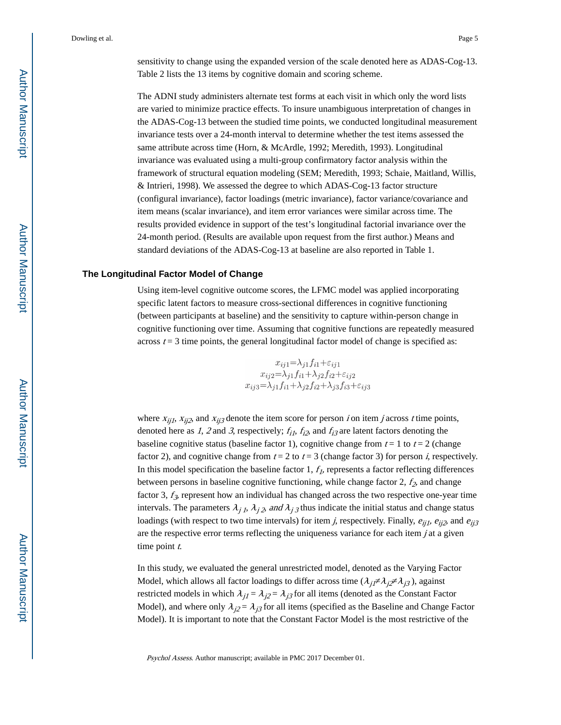sensitivity to change using the expanded version of the scale denoted here as ADAS-Cog-13. Table 2 lists the 13 items by cognitive domain and scoring scheme.

The ADNI study administers alternate test forms at each visit in which only the word lists are varied to minimize practice effects. To insure unambiguous interpretation of changes in the ADAS-Cog-13 between the studied time points, we conducted longitudinal measurement invariance tests over a 24-month interval to determine whether the test items assessed the same attribute across time (Horn, & McArdle, 1992; Meredith, 1993). Longitudinal invariance was evaluated using a multi-group confirmatory factor analysis within the framework of structural equation modeling (SEM; Meredith, 1993; Schaie, Maitland, Willis, & Intrieri, 1998). We assessed the degree to which ADAS-Cog-13 factor structure (configural invariance), factor loadings (metric invariance), factor variance/covariance and item means (scalar invariance), and item error variances were similar across time. The results provided evidence in support of the test's longitudinal factorial invariance over the 24-month period. (Results are available upon request from the first author.) Means and standard deviations of the ADAS-Cog-13 at baseline are also reported in Table 1.

#### **The Longitudinal Factor Model of Change**

Using item-level cognitive outcome scores, the LFMC model was applied incorporating specific latent factors to measure cross-sectional differences in cognitive functioning (between participants at baseline) and the sensitivity to capture within-person change in cognitive functioning over time. Assuming that cognitive functions are repeatedly measured across  $t = 3$  time points, the general longitudinal factor model of change is specified as:

> $x_{ij1} = \lambda_{j1} f_{i1} + \varepsilon_{ij1}$  $x_{ij1} - x_{j1}y_{i1} + z_{ij1}$ <br> $x_{ij2} = \lambda_{j1}f_{i1} + \lambda_{j2}f_{i2} + \varepsilon_{ij2}$ <br> $x_{ij3} = \lambda_{j1}f_{i1} + \lambda_{j2}f_{i2} + \lambda_{j3}f_{i3} + \varepsilon_{ij3}$

where  $x_{ii1}$ ,  $x_{ii2}$ , and  $x_{ii3}$  denote the item score for person *i* on item *j* across *t* time points, denoted here as 1, 2 and 3, respectively;  $f_{i1}$ ,  $f_{i2}$ , and  $f_{i3}$  are latent factors denoting the baseline cognitive status (baseline factor 1), cognitive change from  $t = 1$  to  $t = 2$  (change factor 2), and cognitive change from  $t = 2$  to  $t = 3$  (change factor 3) for person *i*, respectively. In this model specification the baseline factor  $1, f<sub>I</sub>$ , represents a factor reflecting differences between persons in baseline cognitive functioning, while change factor 2,  $f_2$ , and change factor 3,  $f_3$ , represent how an individual has changed across the two respective one-year time intervals. The parameters  $\lambda_j$  1,  $\lambda_j$  2, and  $\lambda_j$  3 thus indicate the initial status and change status loadings (with respect to two time intervals) for item j, respectively. Finally,  $e_{ii1}$ ,  $e_{ii2}$ , and  $e_{ii3}$ are the respective error terms reflecting the uniqueness variance for each item  $j$  at a given time point  $t$ .

In this study, we evaluated the general unrestricted model, denoted as the Varying Factor Model, which allows all factor loadings to differ across time  $(\lambda_{i1} \lambda_{i2} \lambda_{i3})$ , against restricted models in which  $\lambda_{j1} = \lambda_{j2} = \lambda_{j3}$  for all items (denoted as the Constant Factor Model), and where only  $\lambda_{i2} = \lambda_{i3}$  for all items (specified as the Baseline and Change Factor Model). It is important to note that the Constant Factor Model is the most restrictive of the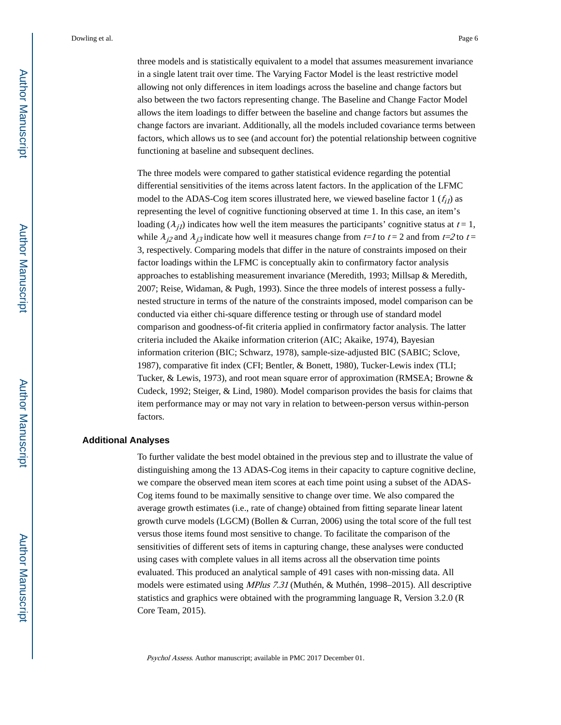three models and is statistically equivalent to a model that assumes measurement invariance in a single latent trait over time. The Varying Factor Model is the least restrictive model allowing not only differences in item loadings across the baseline and change factors but also between the two factors representing change. The Baseline and Change Factor Model allows the item loadings to differ between the baseline and change factors but assumes the change factors are invariant. Additionally, all the models included covariance terms between factors, which allows us to see (and account for) the potential relationship between cognitive functioning at baseline and subsequent declines.

The three models were compared to gather statistical evidence regarding the potential differential sensitivities of the items across latent factors. In the application of the LFMC model to the ADAS-Cog item scores illustrated here, we viewed baseline factor 1  $(f_{i1})$  as representing the level of cognitive functioning observed at time 1. In this case, an item's loading  $(\lambda_{i_l})$  indicates how well the item measures the participants' cognitive status at  $t = 1$ , while  $\lambda_{i2}$  and  $\lambda_{i3}$  indicate how well it measures change from t=1 to t = 2 and from t=2 to t = 3, respectively. Comparing models that differ in the nature of constraints imposed on their factor loadings within the LFMC is conceptually akin to confirmatory factor analysis approaches to establishing measurement invariance (Meredith, 1993; Millsap & Meredith, 2007; Reise, Widaman, & Pugh, 1993). Since the three models of interest possess a fullynested structure in terms of the nature of the constraints imposed, model comparison can be conducted via either chi-square difference testing or through use of standard model comparison and goodness-of-fit criteria applied in confirmatory factor analysis. The latter criteria included the Akaike information criterion (AIC; Akaike, 1974), Bayesian information criterion (BIC; Schwarz, 1978), sample-size-adjusted BIC (SABIC; Sclove, 1987), comparative fit index (CFI; Bentler, & Bonett, 1980), Tucker-Lewis index (TLI; Tucker, & Lewis, 1973), and root mean square error of approximation (RMSEA; Browne & Cudeck, 1992; Steiger, & Lind, 1980). Model comparison provides the basis for claims that item performance may or may not vary in relation to between-person versus within-person factors.

#### **Additional Analyses**

To further validate the best model obtained in the previous step and to illustrate the value of distinguishing among the 13 ADAS-Cog items in their capacity to capture cognitive decline, we compare the observed mean item scores at each time point using a subset of the ADAS-Cog items found to be maximally sensitive to change over time. We also compared the average growth estimates (i.e., rate of change) obtained from fitting separate linear latent growth curve models (LGCM) (Bollen & Curran, 2006) using the total score of the full test versus those items found most sensitive to change. To facilitate the comparison of the sensitivities of different sets of items in capturing change, these analyses were conducted using cases with complete values in all items across all the observation time points evaluated. This produced an analytical sample of 491 cases with non-missing data. All models were estimated using MPlus 7.31 (Muthén, & Muthén, 1998–2015). All descriptive statistics and graphics were obtained with the programming language R, Version 3.2.0 (R Core Team, 2015).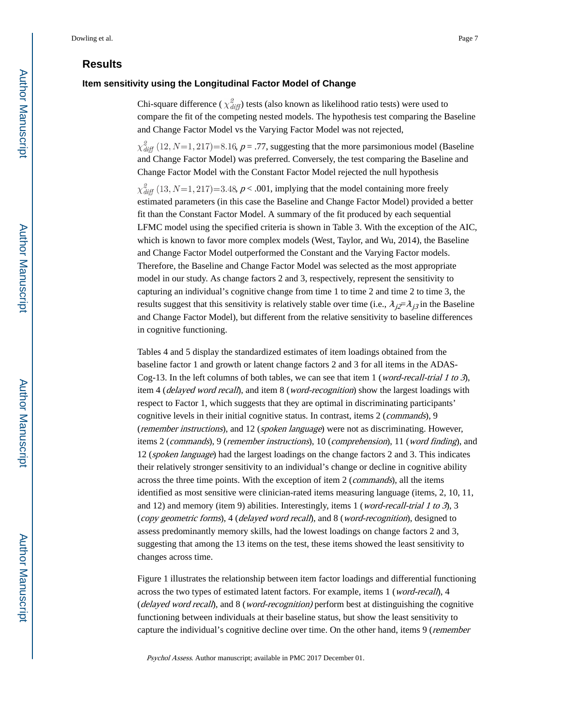# **Results**

#### **Item sensitivity using the Longitudinal Factor Model of Change**

Chi-square difference ( $\chi^2_{diff}$ ) tests (also known as likelihood ratio tests) were used to compare the fit of the competing nested models. The hypothesis test comparing the Baseline and Change Factor Model vs the Varying Factor Model was not rejected,

 $\chi^2_{diff}$  (12, N=1, 217)=8.16, p = .77, suggesting that the more parsimonious model (Baseline and Change Factor Model) was preferred. Conversely, the test comparing the Baseline and Change Factor Model with the Constant Factor Model rejected the null hypothesis

 $\chi^2_{diff}$  (13, N=1, 217)=3.48, p < .001, implying that the model containing more freely estimated parameters (in this case the Baseline and Change Factor Model) provided a better fit than the Constant Factor Model. A summary of the fit produced by each sequential LFMC model using the specified criteria is shown in Table 3. With the exception of the AIC, which is known to favor more complex models (West, Taylor, and Wu, 2014), the Baseline and Change Factor Model outperformed the Constant and the Varying Factor models. Therefore, the Baseline and Change Factor Model was selected as the most appropriate model in our study. As change factors 2 and 3, respectively, represent the sensitivity to capturing an individual's cognitive change from time 1 to time 2 and time 2 to time 3, the results suggest that this sensitivity is relatively stable over time (i.e.,  $\lambda_i = \lambda_i$  in the Baseline and Change Factor Model), but different from the relative sensitivity to baseline differences in cognitive functioning.

Tables 4 and 5 display the standardized estimates of item loadings obtained from the baseline factor 1 and growth or latent change factors 2 and 3 for all items in the ADAS-Cog-13. In the left columns of both tables, we can see that item 1 (*word-recall-trial 1 to 3*), item 4 (delayed word recall), and item 8 (word-recognition) show the largest loadings with respect to Factor 1, which suggests that they are optimal in discriminating participants' cognitive levels in their initial cognitive status. In contrast, items 2 (commands), 9 (remember instructions), and 12 (spoken language) were not as discriminating. However, items 2 (commands), 9 (remember instructions), 10 (comprehension), 11 (word finding), and 12 (spoken language) had the largest loadings on the change factors 2 and 3. This indicates their relatively stronger sensitivity to an individual's change or decline in cognitive ability across the three time points. With the exception of item 2 (*commands*), all the items identified as most sensitive were clinician-rated items measuring language (items, 2, 10, 11, and 12) and memory (item 9) abilities. Interestingly, items 1 (*word-recall-trial 1 to 3*), 3 (copy geometric forms), 4 (delayed word recall), and 8 (word-recognition), designed to assess predominantly memory skills, had the lowest loadings on change factors 2 and 3, suggesting that among the 13 items on the test, these items showed the least sensitivity to changes across time.

Figure 1 illustrates the relationship between item factor loadings and differential functioning across the two types of estimated latent factors. For example, items 1 (word-recall), 4 (delayed word recall), and 8 (word-recognition) perform best at distinguishing the cognitive functioning between individuals at their baseline status, but show the least sensitivity to capture the individual's cognitive decline over time. On the other hand, items 9 (remember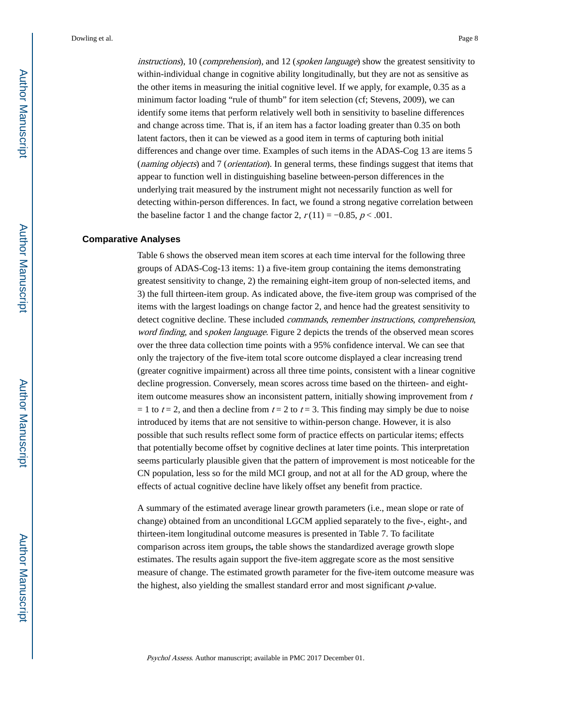instructions), 10 (comprehension), and 12 (spoken language) show the greatest sensitivity to within-individual change in cognitive ability longitudinally, but they are not as sensitive as the other items in measuring the initial cognitive level. If we apply, for example, 0.35 as a minimum factor loading "rule of thumb" for item selection (cf; Stevens, 2009), we can identify some items that perform relatively well both in sensitivity to baseline differences and change across time. That is, if an item has a factor loading greater than 0.35 on both latent factors, then it can be viewed as a good item in terms of capturing both initial differences and change over time. Examples of such items in the ADAS-Cog 13 are items 5 (*naming objects*) and 7 (*orientation*). In general terms, these findings suggest that items that appear to function well in distinguishing baseline between-person differences in the underlying trait measured by the instrument might not necessarily function as well for detecting within-person differences. In fact, we found a strong negative correlation between the baseline factor 1 and the change factor 2,  $r(11) = -0.85$ ,  $p < .001$ .

#### **Comparative Analyses**

Table 6 shows the observed mean item scores at each time interval for the following three groups of ADAS-Cog-13 items: 1) a five-item group containing the items demonstrating greatest sensitivity to change, 2) the remaining eight-item group of non-selected items, and 3) the full thirteen-item group. As indicated above, the five-item group was comprised of the items with the largest loadings on change factor 2, and hence had the greatest sensitivity to detect cognitive decline. These included commands, remember instructions, comprehension, word finding, and spoken language. Figure 2 depicts the trends of the observed mean scores over the three data collection time points with a 95% confidence interval. We can see that only the trajectory of the five-item total score outcome displayed a clear increasing trend (greater cognitive impairment) across all three time points, consistent with a linear cognitive decline progression. Conversely, mean scores across time based on the thirteen- and eightitem outcome measures show an inconsistent pattern, initially showing improvement from  $t$ = 1 to  $t = 2$ , and then a decline from  $t = 2$  to  $t = 3$ . This finding may simply be due to noise introduced by items that are not sensitive to within-person change. However, it is also possible that such results reflect some form of practice effects on particular items; effects that potentially become offset by cognitive declines at later time points. This interpretation seems particularly plausible given that the pattern of improvement is most noticeable for the CN population, less so for the mild MCI group, and not at all for the AD group, where the effects of actual cognitive decline have likely offset any benefit from practice.

A summary of the estimated average linear growth parameters (i.e., mean slope or rate of change) obtained from an unconditional LGCM applied separately to the five-, eight-, and thirteen-item longitudinal outcome measures is presented in Table 7. To facilitate comparison across item groups**,** the table shows the standardized average growth slope estimates. The results again support the five-item aggregate score as the most sensitive measure of change. The estimated growth parameter for the five-item outcome measure was the highest, also yielding the smallest standard error and most significant  $p$ -value.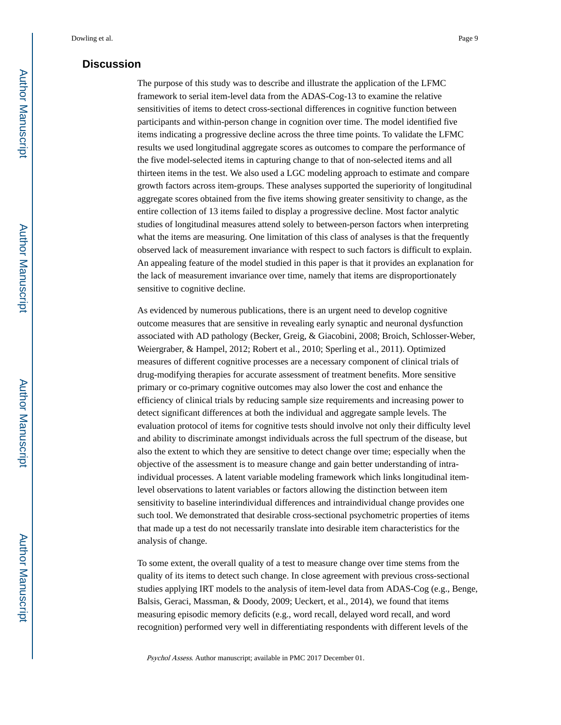# **Discussion**

The purpose of this study was to describe and illustrate the application of the LFMC framework to serial item-level data from the ADAS-Cog-13 to examine the relative sensitivities of items to detect cross-sectional differences in cognitive function between participants and within-person change in cognition over time. The model identified five items indicating a progressive decline across the three time points. To validate the LFMC results we used longitudinal aggregate scores as outcomes to compare the performance of the five model-selected items in capturing change to that of non-selected items and all thirteen items in the test. We also used a LGC modeling approach to estimate and compare growth factors across item-groups. These analyses supported the superiority of longitudinal aggregate scores obtained from the five items showing greater sensitivity to change, as the entire collection of 13 items failed to display a progressive decline. Most factor analytic studies of longitudinal measures attend solely to between-person factors when interpreting what the items are measuring. One limitation of this class of analyses is that the frequently observed lack of measurement invariance with respect to such factors is difficult to explain. An appealing feature of the model studied in this paper is that it provides an explanation for the lack of measurement invariance over time, namely that items are disproportionately sensitive to cognitive decline.

As evidenced by numerous publications, there is an urgent need to develop cognitive outcome measures that are sensitive in revealing early synaptic and neuronal dysfunction associated with AD pathology (Becker, Greig, & Giacobini, 2008; Broich, Schlosser-Weber, Weiergraber, & Hampel, 2012; Robert et al., 2010; Sperling et al., 2011). Optimized measures of different cognitive processes are a necessary component of clinical trials of drug-modifying therapies for accurate assessment of treatment benefits. More sensitive primary or co-primary cognitive outcomes may also lower the cost and enhance the efficiency of clinical trials by reducing sample size requirements and increasing power to detect significant differences at both the individual and aggregate sample levels. The evaluation protocol of items for cognitive tests should involve not only their difficulty level and ability to discriminate amongst individuals across the full spectrum of the disease, but also the extent to which they are sensitive to detect change over time; especially when the objective of the assessment is to measure change and gain better understanding of intraindividual processes. A latent variable modeling framework which links longitudinal itemlevel observations to latent variables or factors allowing the distinction between item sensitivity to baseline interindividual differences and intraindividual change provides one such tool. We demonstrated that desirable cross-sectional psychometric properties of items that made up a test do not necessarily translate into desirable item characteristics for the analysis of change.

To some extent, the overall quality of a test to measure change over time stems from the quality of its items to detect such change. In close agreement with previous cross-sectional studies applying IRT models to the analysis of item-level data from ADAS-Cog (e.g., Benge, Balsis, Geraci, Massman, & Doody, 2009; Ueckert, et al., 2014), we found that items measuring episodic memory deficits (e.g., word recall, delayed word recall, and word recognition) performed very well in differentiating respondents with different levels of the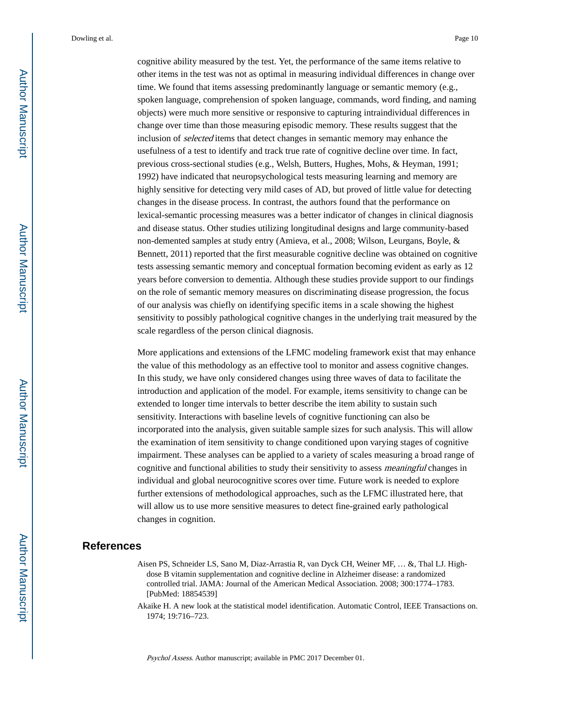cognitive ability measured by the test. Yet, the performance of the same items relative to other items in the test was not as optimal in measuring individual differences in change over time. We found that items assessing predominantly language or semantic memory (e.g., spoken language, comprehension of spoken language, commands, word finding, and naming objects) were much more sensitive or responsive to capturing intraindividual differences in change over time than those measuring episodic memory. These results suggest that the inclusion of *selected* items that detect changes in semantic memory may enhance the usefulness of a test to identify and track true rate of cognitive decline over time. In fact, previous cross-sectional studies (e.g., Welsh, Butters, Hughes, Mohs, & Heyman, 1991; 1992) have indicated that neuropsychological tests measuring learning and memory are highly sensitive for detecting very mild cases of AD, but proved of little value for detecting changes in the disease process. In contrast, the authors found that the performance on lexical-semantic processing measures was a better indicator of changes in clinical diagnosis and disease status. Other studies utilizing longitudinal designs and large community-based non-demented samples at study entry (Amieva, et al., 2008; Wilson, Leurgans, Boyle, & Bennett, 2011) reported that the first measurable cognitive decline was obtained on cognitive tests assessing semantic memory and conceptual formation becoming evident as early as 12 years before conversion to dementia. Although these studies provide support to our findings on the role of semantic memory measures on discriminating disease progression, the focus of our analysis was chiefly on identifying specific items in a scale showing the highest sensitivity to possibly pathological cognitive changes in the underlying trait measured by the scale regardless of the person clinical diagnosis.

More applications and extensions of the LFMC modeling framework exist that may enhance the value of this methodology as an effective tool to monitor and assess cognitive changes. In this study, we have only considered changes using three waves of data to facilitate the introduction and application of the model. For example, items sensitivity to change can be extended to longer time intervals to better describe the item ability to sustain such sensitivity. Interactions with baseline levels of cognitive functioning can also be incorporated into the analysis, given suitable sample sizes for such analysis. This will allow the examination of item sensitivity to change conditioned upon varying stages of cognitive impairment. These analyses can be applied to a variety of scales measuring a broad range of cognitive and functional abilities to study their sensitivity to assess meaningful changes in individual and global neurocognitive scores over time. Future work is needed to explore further extensions of methodological approaches, such as the LFMC illustrated here, that will allow us to use more sensitive measures to detect fine-grained early pathological changes in cognition.

#### **References**

- Aisen PS, Schneider LS, Sano M, Diaz-Arrastia R, van Dyck CH, Weiner MF, … &, Thal LJ. Highdose B vitamin supplementation and cognitive decline in Alzheimer disease: a randomized controlled trial. JAMA: Journal of the American Medical Association. 2008; 300:1774–1783. [PubMed: 18854539]
- Akaike H. A new look at the statistical model identification. Automatic Control, IEEE Transactions on. 1974; 19:716–723.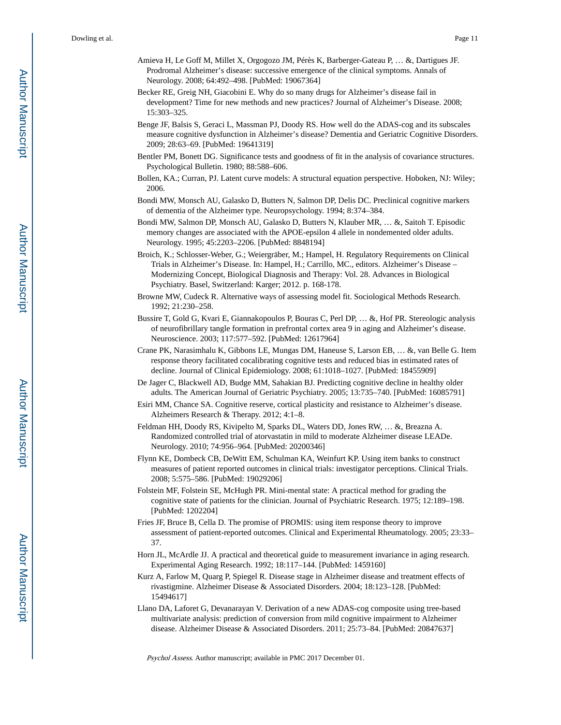- Amieva H, Le Goff M, Millet X, Orgogozo JM, Pérès K, Barberger-Gateau P, … &, Dartigues JF. Prodromal Alzheimer's disease: successive emergence of the clinical symptoms. Annals of Neurology. 2008; 64:492–498. [PubMed: 19067364]
- Becker RE, Greig NH, Giacobini E. Why do so many drugs for Alzheimer's disease fail in development? Time for new methods and new practices? Journal of Alzheimer's Disease. 2008; 15:303–325.
- Benge JF, Balsis S, Geraci L, Massman PJ, Doody RS. How well do the ADAS-cog and its subscales measure cognitive dysfunction in Alzheimer's disease? Dementia and Geriatric Cognitive Disorders. 2009; 28:63–69. [PubMed: 19641319]
- Bentler PM, Bonett DG. Significance tests and goodness of fit in the analysis of covariance structures. Psychological Bulletin. 1980; 88:588–606.
- Bollen, KA.; Curran, PJ. Latent curve models: A structural equation perspective. Hoboken, NJ: Wiley; 2006.
- Bondi MW, Monsch AU, Galasko D, Butters N, Salmon DP, Delis DC. Preclinical cognitive markers of dementia of the Alzheimer type. Neuropsychology. 1994; 8:374–384.
- Bondi MW, Salmon DP, Monsch AU, Galasko D, Butters N, Klauber MR, … &, Saitoh T. Episodic memory changes are associated with the APOE-epsilon 4 allele in nondemented older adults. Neurology. 1995; 45:2203–2206. [PubMed: 8848194]
- Broich, K.; Schlosser-Weber, G.; Weiergräber, M.; Hampel, H. Regulatory Requirements on Clinical Trials in Alzheimer's Disease. In: Hampel, H.; Carrillo, MC., editors. Alzheimer's Disease – Modernizing Concept, Biological Diagnosis and Therapy: Vol. 28. Advances in Biological Psychiatry. Basel, Switzerland: Karger; 2012. p. 168-178.
- Browne MW, Cudeck R. Alternative ways of assessing model fit. Sociological Methods Research. 1992; 21:230–258.
- Bussire T, Gold G, Kvari E, Giannakopoulos P, Bouras C, Perl DP, … &, Hof PR. Stereologic analysis of neurofibrillary tangle formation in prefrontal cortex area 9 in aging and Alzheimer's disease. Neuroscience. 2003; 117:577–592. [PubMed: 12617964]
- Crane PK, Narasimhalu K, Gibbons LE, Mungas DM, Haneuse S, Larson EB, … &, van Belle G. Item response theory facilitated cocalibrating cognitive tests and reduced bias in estimated rates of decline. Journal of Clinical Epidemiology. 2008; 61:1018–1027. [PubMed: 18455909]
- De Jager C, Blackwell AD, Budge MM, Sahakian BJ. Predicting cognitive decline in healthy older adults. The American Journal of Geriatric Psychiatry. 2005; 13:735–740. [PubMed: 16085791]
- Esiri MM, Chance SA. Cognitive reserve, cortical plasticity and resistance to Alzheimer's disease. Alzheimers Research & Therapy. 2012; 4:1–8.
- Feldman HH, Doody RS, Kivipelto M, Sparks DL, Waters DD, Jones RW, … &, Breazna A. Randomized controlled trial of atorvastatin in mild to moderate Alzheimer disease LEADe. Neurology. 2010; 74:956–964. [PubMed: 20200346]
- Flynn KE, Dombeck CB, DeWitt EM, Schulman KA, Weinfurt KP. Using item banks to construct measures of patient reported outcomes in clinical trials: investigator perceptions. Clinical Trials. 2008; 5:575–586. [PubMed: 19029206]
- Folstein MF, Folstein SE, McHugh PR. Mini-mental state: A practical method for grading the cognitive state of patients for the clinician. Journal of Psychiatric Research. 1975; 12:189–198. [PubMed: 1202204]
- Fries JF, Bruce B, Cella D. The promise of PROMIS: using item response theory to improve assessment of patient-reported outcomes. Clinical and Experimental Rheumatology. 2005; 23:33– 37.
- Horn JL, McArdle JJ. A practical and theoretical guide to measurement invariance in aging research. Experimental Aging Research. 1992; 18:117–144. [PubMed: 1459160]
- Kurz A, Farlow M, Quarg P, Spiegel R. Disease stage in Alzheimer disease and treatment effects of rivastigmine. Alzheimer Disease & Associated Disorders. 2004; 18:123–128. [PubMed: 15494617]
- Llano DA, Laforet G, Devanarayan V. Derivation of a new ADAS-cog composite using tree-based multivariate analysis: prediction of conversion from mild cognitive impairment to Alzheimer disease. Alzheimer Disease & Associated Disorders. 2011; 25:73–84. [PubMed: 20847637]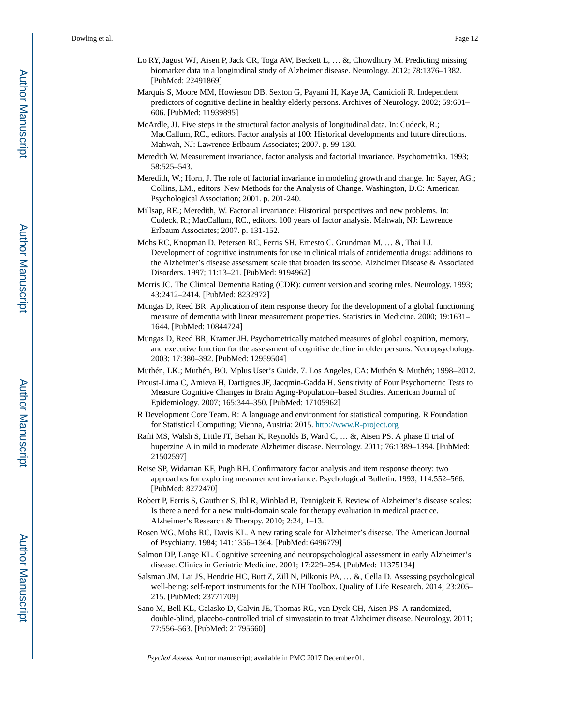- Lo RY, Jagust WJ, Aisen P, Jack CR, Toga AW, Beckett L, ... &, Chowdhury M. Predicting missing biomarker data in a longitudinal study of Alzheimer disease. Neurology. 2012; 78:1376–1382. [PubMed: 22491869]
- Marquis S, Moore MM, Howieson DB, Sexton G, Payami H, Kaye JA, Camicioli R. Independent predictors of cognitive decline in healthy elderly persons. Archives of Neurology. 2002; 59:601– 606. [PubMed: 11939895]
- McArdle, JJ. Five steps in the structural factor analysis of longitudinal data. In: Cudeck, R.; MacCallum, RC., editors. Factor analysis at 100: Historical developments and future directions. Mahwah, NJ: Lawrence Erlbaum Associates; 2007. p. 99-130.
- Meredith W. Measurement invariance, factor analysis and factorial invariance. Psychometrika. 1993; 58:525–543.
- Meredith, W.; Horn, J. The role of factorial invariance in modeling growth and change. In: Sayer, AG.; Collins, LM., editors. New Methods for the Analysis of Change. Washington, D.C: American Psychological Association; 2001. p. 201-240.
- Millsap, RE.; Meredith, W. Factorial invariance: Historical perspectives and new problems. In: Cudeck, R.; MacCallum, RC., editors. 100 years of factor analysis. Mahwah, NJ: Lawrence Erlbaum Associates; 2007. p. 131-152.
- Mohs RC, Knopman D, Petersen RC, Ferris SH, Ernesto C, Grundman M, … &, Thai LJ. Development of cognitive instruments for use in clinical trials of antidementia drugs: additions to the Alzheimer's disease assessment scale that broaden its scope. Alzheimer Disease & Associated Disorders. 1997; 11:13–21. [PubMed: 9194962]
- Morris JC. The Clinical Dementia Rating (CDR): current version and scoring rules. Neurology. 1993; 43:2412–2414. [PubMed: 8232972]
- Mungas D, Reed BR. Application of item response theory for the development of a global functioning measure of dementia with linear measurement properties. Statistics in Medicine. 2000; 19:1631– 1644. [PubMed: 10844724]
- Mungas D, Reed BR, Kramer JH. Psychometrically matched measures of global cognition, memory, and executive function for the assessment of cognitive decline in older persons. Neuropsychology. 2003; 17:380–392. [PubMed: 12959504]
- Muthén, LK.; Muthén, BO. Mplus User's Guide. 7. Los Angeles, CA: Muthén & Muthén; 1998–2012.
- Proust-Lima C, Amieva H, Dartigues JF, Jacqmin-Gadda H. Sensitivity of Four Psychometric Tests to Measure Cognitive Changes in Brain Aging-Population–based Studies. American Journal of Epidemiology. 2007; 165:344–350. [PubMed: 17105962]
- R Development Core Team. R: A language and environment for statistical computing. R Foundation for Statistical Computing; Vienna, Austria: 2015.<http://www.R-project.org>
- Rafii MS, Walsh S, Little JT, Behan K, Reynolds B, Ward C, … &, Aisen PS. A phase II trial of huperzine A in mild to moderate Alzheimer disease. Neurology. 2011; 76:1389–1394. [PubMed: 21502597]
- Reise SP, Widaman KF, Pugh RH. Confirmatory factor analysis and item response theory: two approaches for exploring measurement invariance. Psychological Bulletin. 1993; 114:552–566. [PubMed: 8272470]
- Robert P, Ferris S, Gauthier S, Ihl R, Winblad B, Tennigkeit F. Review of Alzheimer's disease scales: Is there a need for a new multi-domain scale for therapy evaluation in medical practice. Alzheimer's Research & Therapy. 2010; 2:24, 1–13.
- Rosen WG, Mohs RC, Davis KL. A new rating scale for Alzheimer's disease. The American Journal of Psychiatry. 1984; 141:1356–1364. [PubMed: 6496779]
- Salmon DP, Lange KL. Cognitive screening and neuropsychological assessment in early Alzheimer's disease. Clinics in Geriatric Medicine. 2001; 17:229–254. [PubMed: 11375134]
- Salsman JM, Lai JS, Hendrie HC, Butt Z, Zill N, Pilkonis PA, … &, Cella D. Assessing psychological well-being: self-report instruments for the NIH Toolbox. Quality of Life Research. 2014; 23:205– 215. [PubMed: 23771709]
- Sano M, Bell KL, Galasko D, Galvin JE, Thomas RG, van Dyck CH, Aisen PS. A randomized, double-blind, placebo-controlled trial of simvastatin to treat Alzheimer disease. Neurology. 2011; 77:556–563. [PubMed: 21795660]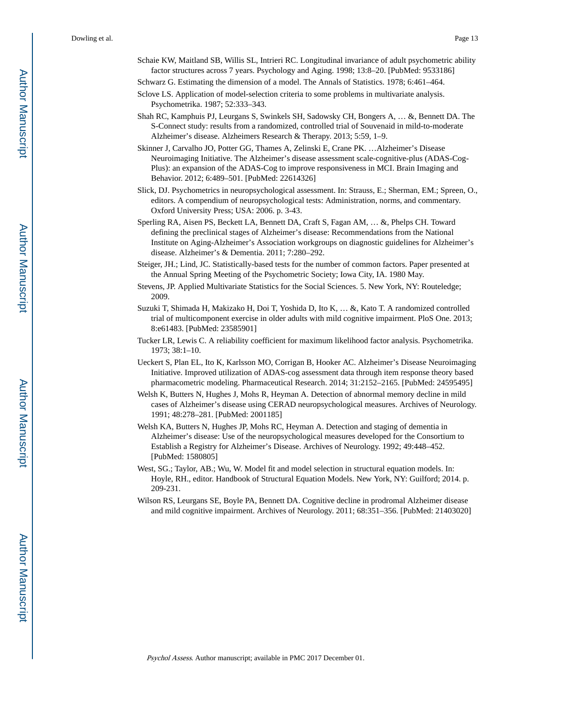- Schaie KW, Maitland SB, Willis SL, Intrieri RC. Longitudinal invariance of adult psychometric ability factor structures across 7 years. Psychology and Aging. 1998; 13:8–20. [PubMed: 9533186] Schwarz G. Estimating the dimension of a model. The Annals of Statistics. 1978; 6:461–464.
- Sclove LS. Application of model-selection criteria to some problems in multivariate analysis. Psychometrika. 1987; 52:333–343.
- Shah RC, Kamphuis PJ, Leurgans S, Swinkels SH, Sadowsky CH, Bongers A, … &, Bennett DA. The S-Connect study: results from a randomized, controlled trial of Souvenaid in mild-to-moderate Alzheimer's disease. Alzheimers Research & Therapy. 2013; 5:59, 1–9.
- Skinner J, Carvalho JO, Potter GG, Thames A, Zelinski E, Crane PK. …Alzheimer's Disease Neuroimaging Initiative. The Alzheimer's disease assessment scale-cognitive-plus (ADAS-Cog-Plus): an expansion of the ADAS-Cog to improve responsiveness in MCI. Brain Imaging and Behavior. 2012; 6:489–501. [PubMed: 22614326]
- Slick, DJ. Psychometrics in neuropsychological assessment. In: Strauss, E.; Sherman, EM.; Spreen, O., editors. A compendium of neuropsychological tests: Administration, norms, and commentary. Oxford University Press; USA: 2006. p. 3-43.
- Sperling RA, Aisen PS, Beckett LA, Bennett DA, Craft S, Fagan AM, … &, Phelps CH. Toward defining the preclinical stages of Alzheimer's disease: Recommendations from the National Institute on Aging-Alzheimer's Association workgroups on diagnostic guidelines for Alzheimer's disease. Alzheimer's & Dementia. 2011; 7:280–292.
- Steiger, JH.; Lind, JC. Statistically-based tests for the number of common factors. Paper presented at the Annual Spring Meeting of the Psychometric Society; Iowa City, IA. 1980 May.
- Stevens, JP. Applied Multivariate Statistics for the Social Sciences. 5. New York, NY: Routeledge; 2009.
- Suzuki T, Shimada H, Makizako H, Doi T, Yoshida D, Ito K, … &, Kato T. A randomized controlled trial of multicomponent exercise in older adults with mild cognitive impairment. PloS One. 2013; 8:e61483. [PubMed: 23585901]
- Tucker LR, Lewis C. A reliability coefficient for maximum likelihood factor analysis. Psychometrika. 1973; 38:1–10.
- Ueckert S, Plan EL, Ito K, Karlsson MO, Corrigan B, Hooker AC. Alzheimer's Disease Neuroimaging Initiative. Improved utilization of ADAS-cog assessment data through item response theory based pharmacometric modeling. Pharmaceutical Research. 2014; 31:2152–2165. [PubMed: 24595495]
- Welsh K, Butters N, Hughes J, Mohs R, Heyman A. Detection of abnormal memory decline in mild cases of Alzheimer's disease using CERAD neuropsychological measures. Archives of Neurology. 1991; 48:278–281. [PubMed: 2001185]
- Welsh KA, Butters N, Hughes JP, Mohs RC, Heyman A. Detection and staging of dementia in Alzheimer's disease: Use of the neuropsychological measures developed for the Consortium to Establish a Registry for Alzheimer's Disease. Archives of Neurology. 1992; 49:448–452. [PubMed: 1580805]
- West, SG.; Taylor, AB.; Wu, W. Model fit and model selection in structural equation models. In: Hoyle, RH., editor. Handbook of Structural Equation Models. New York, NY: Guilford; 2014. p. 209-231.
- Wilson RS, Leurgans SE, Boyle PA, Bennett DA. Cognitive decline in prodromal Alzheimer disease and mild cognitive impairment. Archives of Neurology. 2011; 68:351–356. [PubMed: 21403020]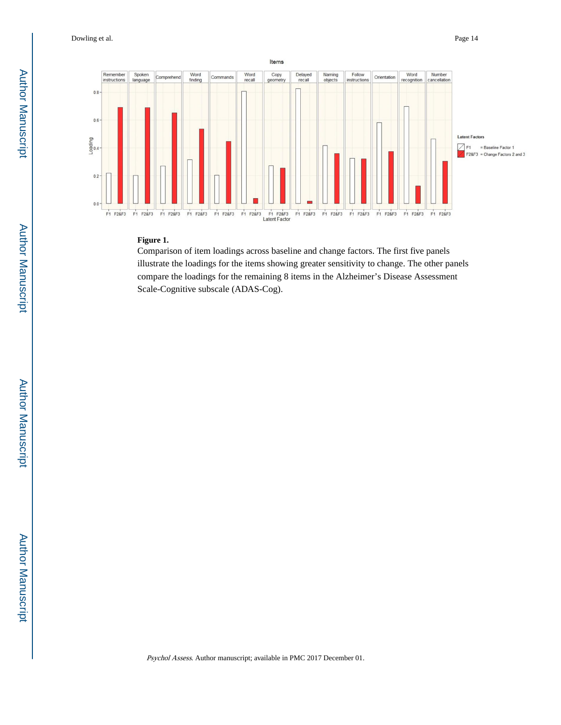

### **Figure 1.**

Comparison of item loadings across baseline and change factors. The first five panels illustrate the loadings for the items showing greater sensitivity to change. The other panels compare the loadings for the remaining 8 items in the Alzheimer's Disease Assessment Scale-Cognitive subscale (ADAS-Cog).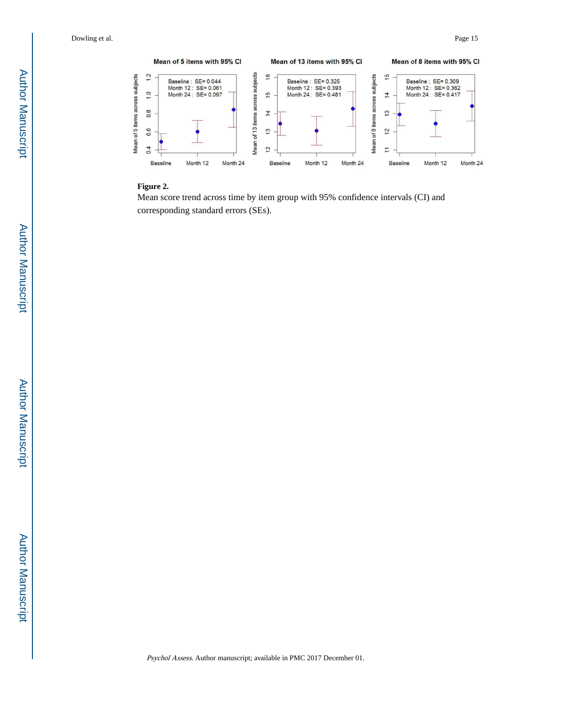

## **Figure 2.**

Mean score trend across time by item group with 95% confidence intervals (CI) and corresponding standard errors (SEs).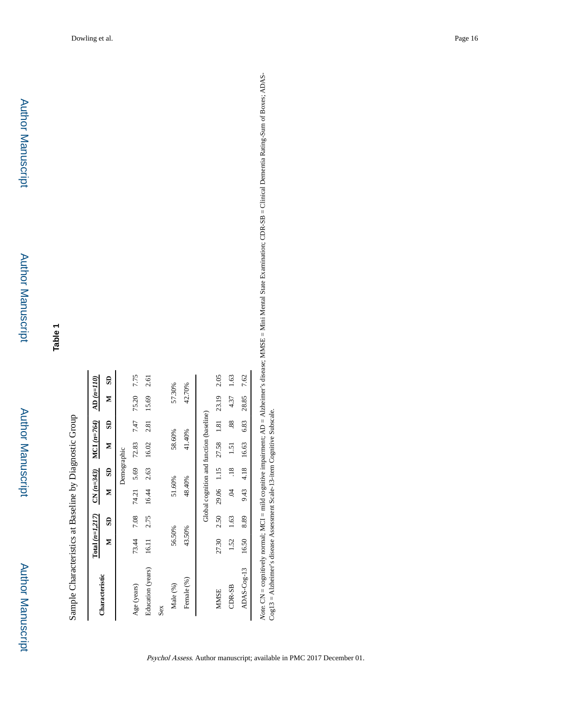Sample Characteristics at Baseline by Diagnostic Group Sample Characteristics at Baseline by Diagnostic Group

| Characteristic    | $Total (n=1, 217)$ |      | $CN(n=343)$                              |                | MCI $(n=764)$               |      | $AD(n=110)$ |      |
|-------------------|--------------------|------|------------------------------------------|----------------|-----------------------------|------|-------------|------|
|                   | Σ                  | S    | z                                        | S              | Σ                           | S    | z           | SD   |
|                   |                    |      |                                          | Demographic    |                             |      |             |      |
| Age (years)       | 73.44              | 7.08 |                                          |                | 74.21 5.69 72.83            | 7.47 | 75.20       | 7.75 |
| Education (years) | 16.11              | 2.75 | 16.44                                    | 2.63           | 16.02                       | 2.81 | 15.69       | 2.61 |
| Sex               |                    |      |                                          |                |                             |      |             |      |
| Male (%)          | 56.50%             |      | 51.60%                                   |                | 58.60%                      |      | 57.30%      |      |
| Female (%)        | 43.50%             |      | 48.40%                                   |                | 41.40%                      |      | 42.70%      |      |
|                   |                    |      | Global cognition and function (baseline) |                |                             |      |             |      |
| <b>MMSE</b>       | 27.30              | 2.50 |                                          |                | 29.06 1.15 27.58 1.81 23.19 |      |             | 2.05 |
| CDR-SB            | 1.52               | 1.63 | Š                                        | $\frac{18}{1}$ | 1.51                        | 88   | 4.37        | 1.63 |
| ADAS-Cog-13       | 16.50              | 8.89 | 9.43                                     | 4.18           | 16.63                       | 6.83 | 28.85       | 7.62 |
|                   |                    |      |                                          |                |                             |      |             |      |

Note. CN = cognitively normal; MCI = mild cognitive impairment; AD = Alzheimer's disease; MMSE = Mini Mental State Examination; CDR-SB = Clinical Dementia Rating-Sum of Boxes; ADAS-<br>Cog13 = Alzheimer's disease Assessment Note. CN = cognitively normal; MCI = mild cognitive impairment; AD = Alzheimer's disease; MMSE = Mini Mental State Examination; CDR-SB = Clinical Dementia Rating-Sum of Boxes; ADAS-Cog13 = Alzheimer's disease Assessment Scale-13-item Cognitive Subscale.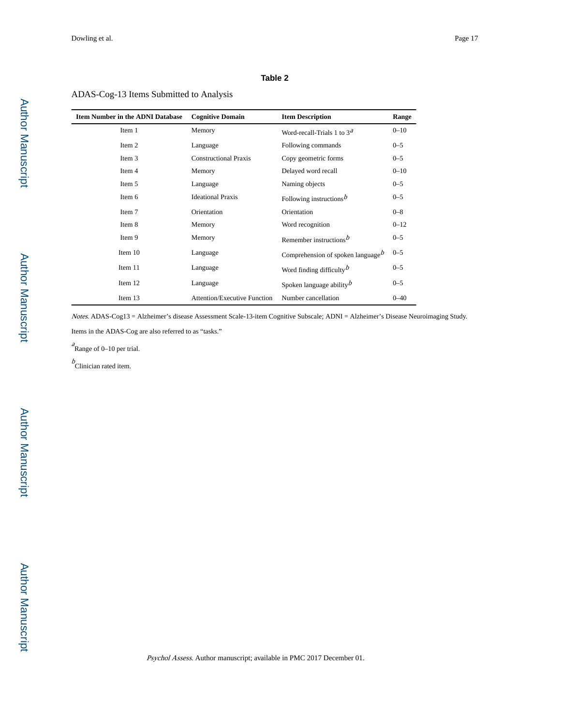#### **Table 2**

# ADAS-Cog-13 Items Submitted to Analysis

| <b>Item Number in the ADNI Database</b> | <b>Cognitive Domain</b>             | <b>Item Description</b>                       | Range    |
|-----------------------------------------|-------------------------------------|-----------------------------------------------|----------|
| Item 1                                  | Memory                              | Word-recall-Trials 1 to $3d$                  | $0 - 10$ |
| Item 2                                  | Language                            | Following commands                            | $0 - 5$  |
| Item 3                                  | <b>Constructional Praxis</b>        | Copy geometric forms                          | $0 - 5$  |
| Item 4                                  | Memory                              | Delayed word recall                           | $0 - 10$ |
| Item 5                                  | Language                            | Naming objects                                | $0 - 5$  |
| Item 6                                  | <b>Ideational Praxis</b>            | Following instructions $b$                    | $0 - 5$  |
| Item 7                                  | Orientation                         | Orientation                                   | $0 - 8$  |
| Item 8                                  | Memory                              | Word recognition                              | $0 - 12$ |
| Item 9                                  | Memory                              | Remember instructions $\frac{b}{c}$           | $0 - 5$  |
| Item 10                                 | Language                            | Comprehension of spoken language <sup>b</sup> | $0 - 5$  |
| Item 11                                 | Language                            | Word finding difficulty $\overline{b}$        | $0 - 5$  |
| Item 12                                 | Language                            | Spoken language ability $\overline{b}$        | $0 - 5$  |
| Item 13                                 | <b>Attention/Executive Function</b> | Number cancellation                           | $0 - 40$ |

Notes. ADAS-Cog13 = Alzheimer's disease Assessment Scale-13-item Cognitive Subscale; ADNI = Alzheimer's Disease Neuroimaging Study.

Items in the ADAS-Cog are also referred to as "tasks."

 $^a$ Range of 0–10 per trial.

 $b$ Clinician rated item.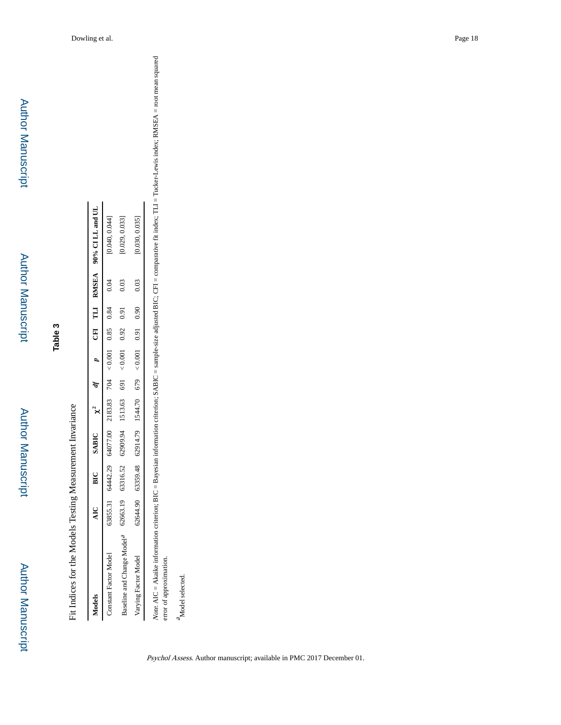Author Manuscript

**Author Manuscript** 

Fit Indices for the Models Testing Measurement Invariance Fit Indices for the Models Testing Measurement Invariance

| Aodels                                                                                               |  |                                                                                       |  |  |  | AIC BIC SABIC $\chi^2$ df $p$ CEI TLI RMSEA 90% 90% PLI RMSEA |
|------------------------------------------------------------------------------------------------------|--|---------------------------------------------------------------------------------------|--|--|--|---------------------------------------------------------------|
| Constant Factor Model                                                                                |  | $38355.31$ $642.29$ $642.20$ $704$ $704$ $704$ $83.83.83$ $0.85$ $0.85$ $0.84$ $0.04$ |  |  |  | 0.040, 0.044]                                                 |
| Baseline and Change Model <sup>a</sup> 62663.19 63316.52 62909.94 1513.63 691 < 0.001 0.92 0.91 0.03 |  |                                                                                       |  |  |  | 0.029, 0.033]                                                 |
| Jarving Factor Model                                                                                 |  |                                                                                       |  |  |  | $0.030, 0.035$ ]                                              |

 ${}^{\rm 2}$  Model selected. Model selected.

error of approximation.

Note. AIC = Akaike information criterion; BIC = Bayesian information criterion; SABIC = sample-size adjusted BIC; CFI = comparative fit index; TLI = Tucker-Lewis index; RMSEA = root mean squared<br>error of approximation. Note. AIC = Akaike information criterion; BIC = Bayesian information criterion; SABIC = sample-size adjusted BIC; CFI = comparative fit index; TLI = Tucker-Lewis index; RMSEA = root mean squared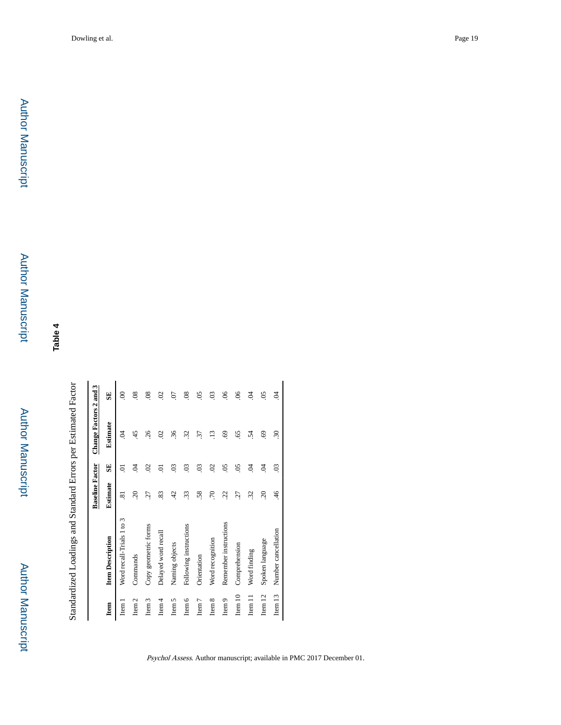**Table 4**

Standardized Loadings and Standard Errors per Estimated Factor Standardized Loadings and Standard Errors per Estimated Factor

|                    |                           | <b>Baseline Factor</b> |                           | Change Factors 2 and 3 |                           |
|--------------------|---------------------------|------------------------|---------------------------|------------------------|---------------------------|
| Item               | <b>Item Description</b>   | <b>Estimate</b>        | SE                        | Estimate               | SE                        |
| Item               | Word recall-Trials 1 to 3 | $\ddot{s}$             | ರ                         | S.                     | 8                         |
| Item <sub>2</sub>  | Commands                  | $\tilde{\mathcal{L}}$  | S.                        | 45                     | $\frac{8}{2}$             |
| Item 3             | Copy geometric forms      | 27                     | $\mathcal{S}$             | 26                     | $\overline{0}$            |
| $I$ tem $4$        | Delayed word recall       | 83                     | ā                         | $\mathcal{S}$          | S.                        |
| Item 5             | Naming objects            | 42                     | $\ddot{\mathrm{c}}$       | $\ddot{36}$            | $\overline{c}$            |
| Item $6$           | Following instructions    | 33                     | $\ddot{\mathrm{S}}$       | 32                     | $\overline{0}$            |
| Item <sub>7</sub>  | Orientation               | 58                     | SO.                       | 31                     | $\widetilde{\mathrm{SO}}$ |
| Item $8$           | Word recognition          | .70                    | $\mathcal{S}$             | $\ddot{13}$            | $\overline{0}$            |
| Item <sub>9</sub>  | Remember instructions     | 22                     | $\overline{5}$            | $\ddot{\mathrm{e}}$    | $\frac{6}{5}$             |
| Item 10            | Comprehension             | 27                     | $\widetilde{\mathrm{SO}}$ | $\widetilde{5}$        | $\mathcal{S}$             |
| Ξ<br>Item.         | Word finding              | 32                     | S.                        | 54                     | S.                        |
| Item $12$          | Spoken language           | $\overline{c}$         | S.                        | 69.                    | $\overline{5}$            |
| Item <sub>13</sub> | Number cancellation       | 46                     | $\overline{0}$            | $\ddot{30}$            | S.                        |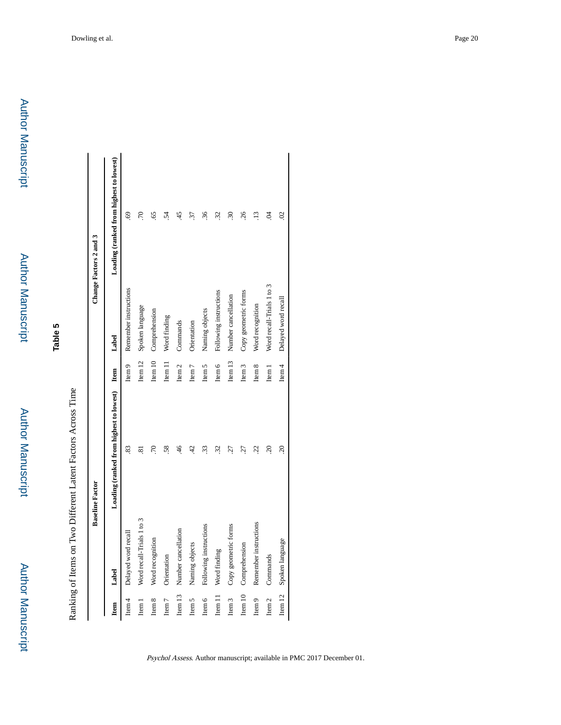Author Manuscript

**Author Manuscript** 

**Table 5**

Ranking of Items on Two Different Latent Factors Across Time Ranking of Items on Two Different Latent Factors Across Time

|                   |                           | <b>Baseline Factor</b>                       |                    |                            | Change Factors 2 and 3                  |
|-------------------|---------------------------|----------------------------------------------|--------------------|----------------------------|-----------------------------------------|
| Item              | Label                     | Loading (ranked from highest to lowest) Item |                    | Label                      | Loading (ranked from highest to lowest) |
| Item $4$          | Delayed word recall       | 83                                           | Item 9             | Remember instructions      | 69                                      |
| Item 1            | Word recall-Trials 1 to 3 | ವ                                            |                    | Item 12 Spoken language    | 70                                      |
| Item 8            | Word recognition          | 70                                           | Item 10            | Comprehension              | 65                                      |
| Item <sub>7</sub> | Orientation               | 58.                                          | Item 11            | Word finding               | $\ddot{5}$                              |
| Item 13           | Number cancellation       | $\overline{46}$                              | Item <sub>2</sub>  | Commands                   | 45                                      |
| Item 5            | Naming objects            | 42                                           | Item <sub>7</sub>  | Orientation                | 37                                      |
| Item $6$          | Following instructions    | 33                                           | Item $5$           | Naming objects             | $\widetilde{\mathcal{E}}$               |
| Item 11           | Word finding              | 32                                           | Item $6$           | Following instructions     | 32                                      |
| Item <sub>3</sub> | Copy geometric forms      | 27                                           | Item <sub>13</sub> | Number cancellation        | $\widetilde{\mathcal{E}}$               |
| Item 10           | Comprehension             | 27                                           | Item <sub>3</sub>  | Copy geometric forms       | 26                                      |
| Item $9$          | Remember instructions     | 22                                           | Item 8             | Word recognition           | $\ddot{ }$                              |
| Item <sub>2</sub> | Commands                  | $\widetilde{\mathcal{L}}$                    | Item 1             | Word recall-Trials 1 to 3  | S.                                      |
|                   | Item 12 Spoken language   | $\tilde{\mathcal{L}}$                        |                    | Item 4 Delayed word recall | $\mathfrak{S}$                          |
|                   |                           |                                              |                    |                            |                                         |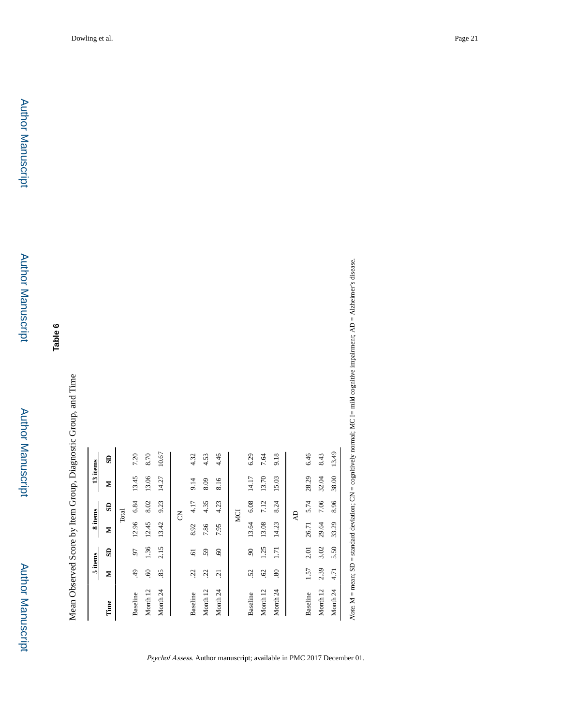Mean Observed Score by Item Group, Diagnostic Group, and Time Mean Observed Score by Item Group, Diagnostic Group, and Time

|                     |                     | 5 items        | 8 items |            | 13 items |       |
|---------------------|---------------------|----------------|---------|------------|----------|-------|
| Time                | Σ                   | SD             | Z       | SD         | Σ        | e     |
|                     |                     |                |         | Total      |          |       |
| Baseline            | 49                  | 50             | 12.96   | 6.84       | 13.45    | 7.20  |
| Month 12            | $\ddot{\mathrm{e}}$ | 1.36           | 12.45   | 8.02       | 13.06    | 8.70  |
| Month <sub>24</sub> | 85                  | 2.15           | 13.42   | 9.23       | 14.27    | 10.67 |
|                     |                     |                |         | g          |          |       |
| Baseline            | 22                  | ত্             | 8.92    | 4.17       | 9.14     | 4.32  |
| Month 12            | 22                  | 59             | 7.86    | 4.35       | 8.09     | 4.53  |
| Month <sub>24</sub> | $\overline{c}$      | $\mathcal{S}$  | 7.95    | 4.23       | 8.16     | 4.46  |
|                     |                     |                |         | MCI        |          |       |
| Baseline            | 52                  | $\overline{6}$ |         | 13.64 6.08 | 14.17    | 6.29  |
| Month 12            | 62                  | 1.25           | 13.08   | 7.12       | 13.70    | 7.64  |
| Month <sub>24</sub> | .80                 | 1.71           | 14.23   | 8.24       | 15.03    | 9.18  |
|                     |                     |                |         | Ą          |          |       |
| Baseline            | 1.57                | 2.01           | 26.71   | 5.74       | 28.29    | 6.46  |
| Month 12            | 2.39                | 3.02           | 29.64   | 7.06       | 32.04    | 8.43  |
| Month <sub>24</sub> | 4.71                | 5.50           | 33.29   | 8.96       | 38.00    | 13.49 |

Psychol Assess. Author manuscript; available in PMC 2017 December 01.